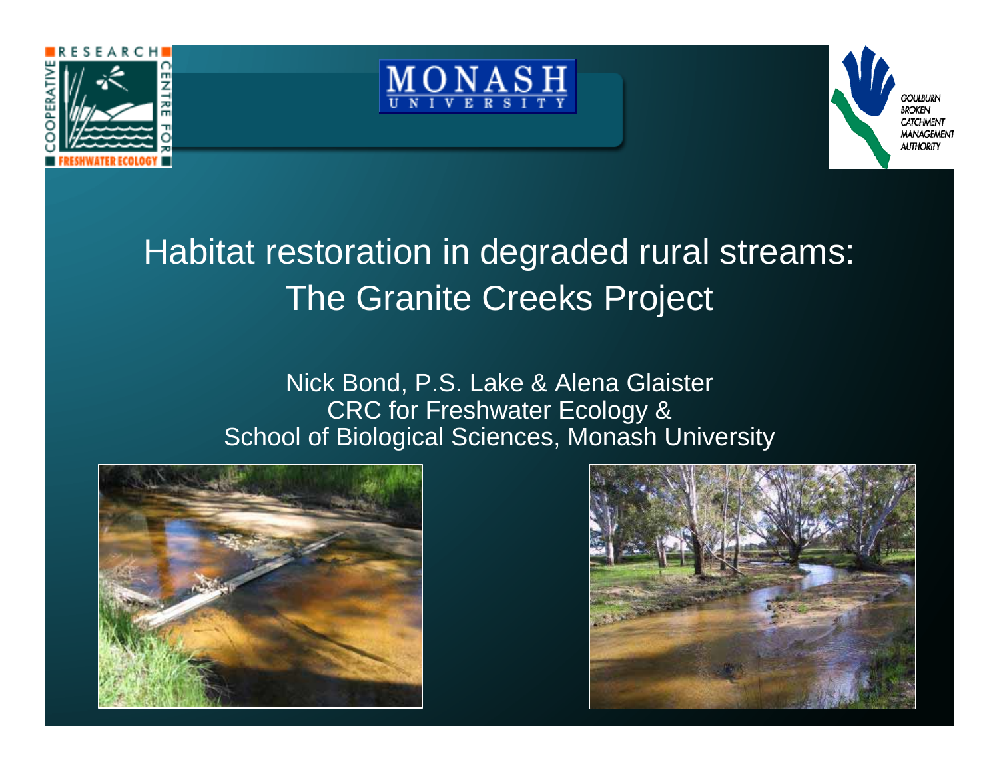





## Habitat restoration in degraded rural streams: The Granite Creeks Project

#### Nick Bond, P.S. Lake & Alena Glaister CRC for Freshwater Ecology & School of Biological Sciences, Monash University



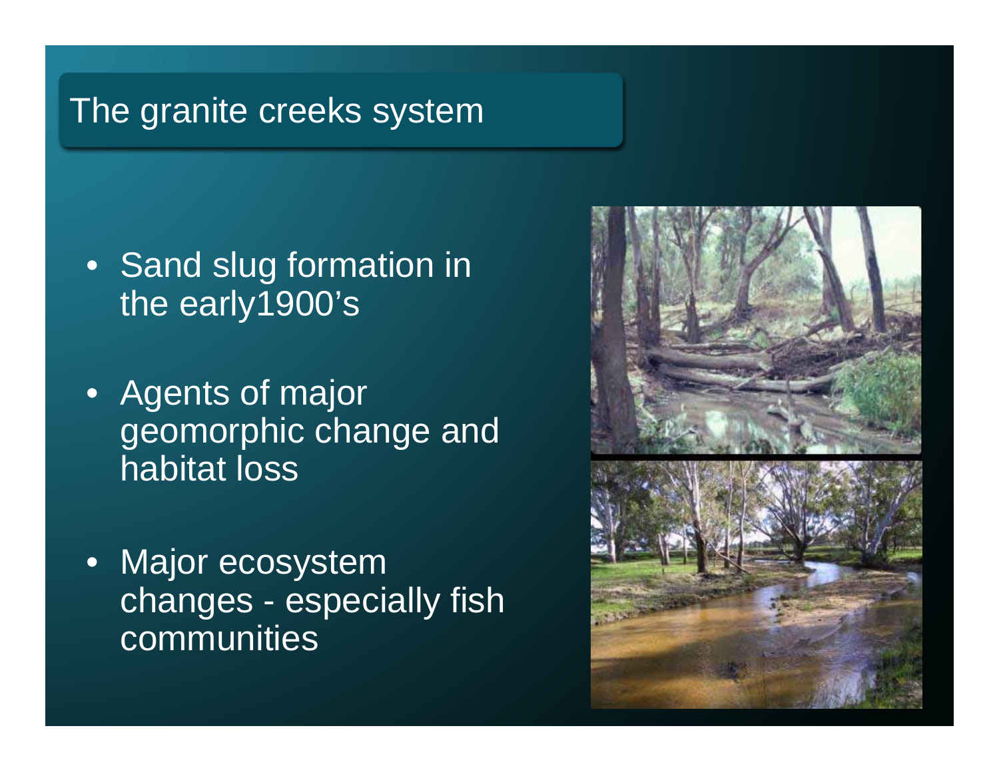## The granite creeks system

- Sand slug formation in the early1900's
- Agents of major geomorphic change and habitat loss
- $\bullet$  Major ecosystem changes - especially fish communities

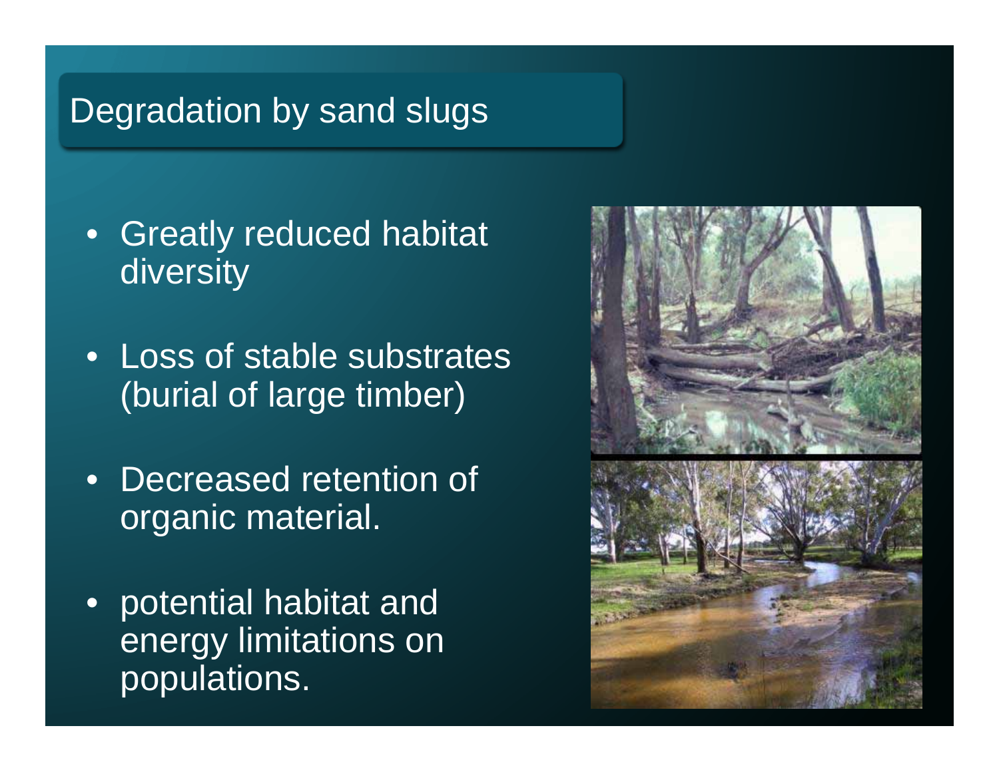## Degradation by sand slugs

- • Greatly reduced habitat diversity
- Loss of stable substrates (burial of large timber)
- $\bullet$  Decreased retention of organic material.
- $\bullet$  potential habitat and energy limitations on populations.

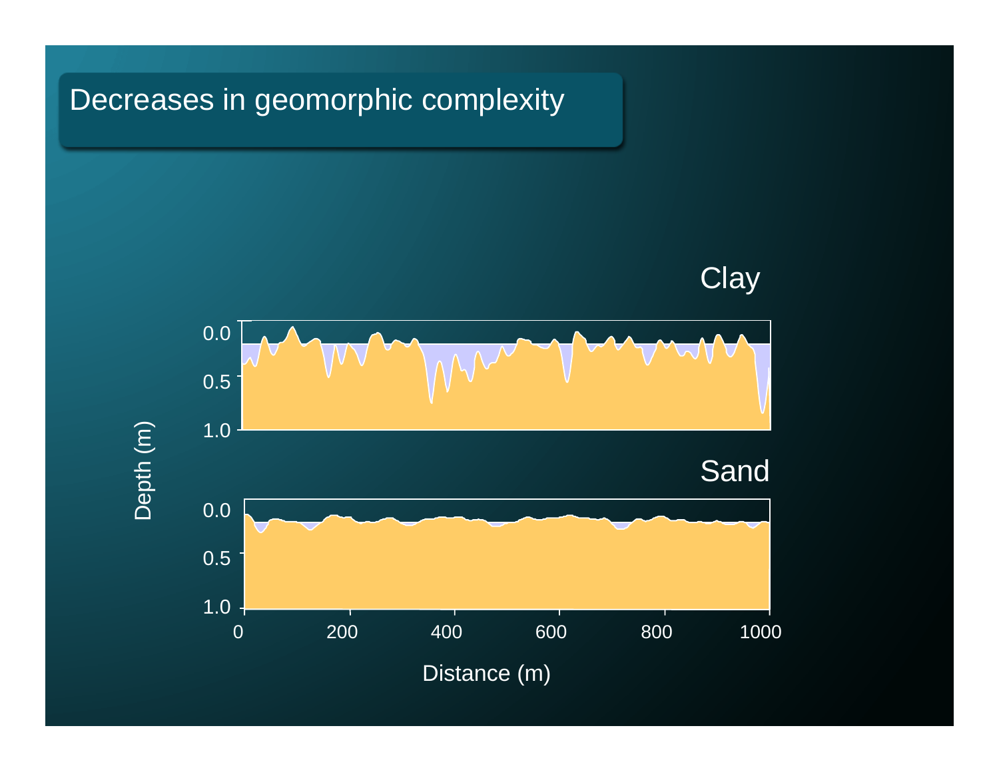#### Decreases in geomorphic complexity

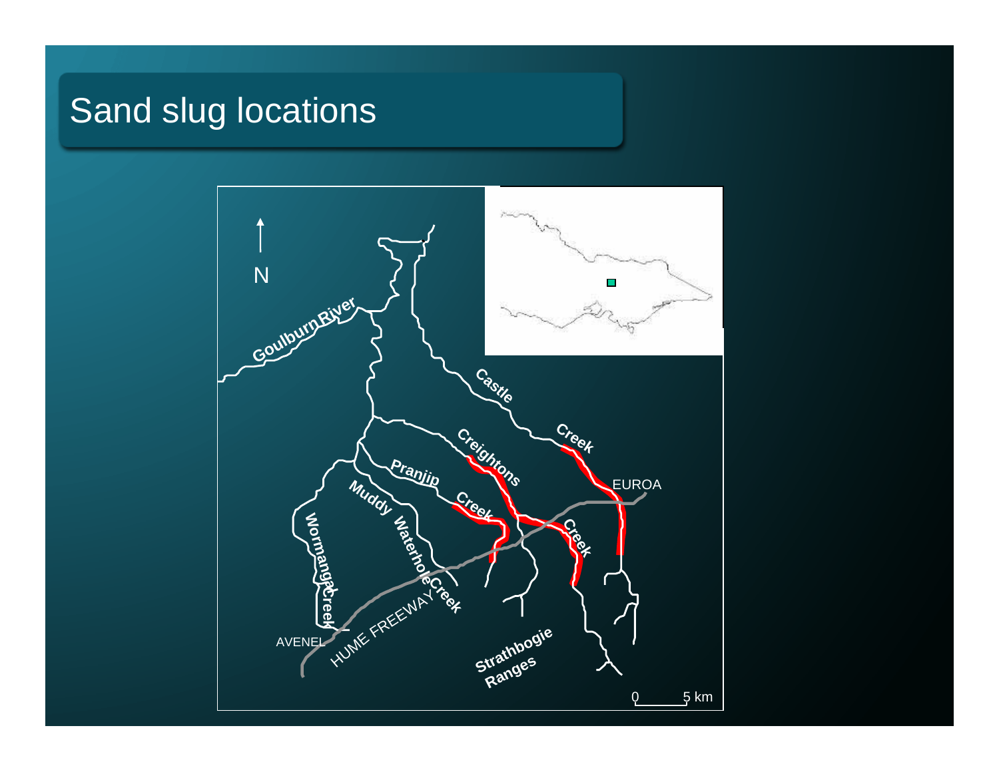## Sand slug locations

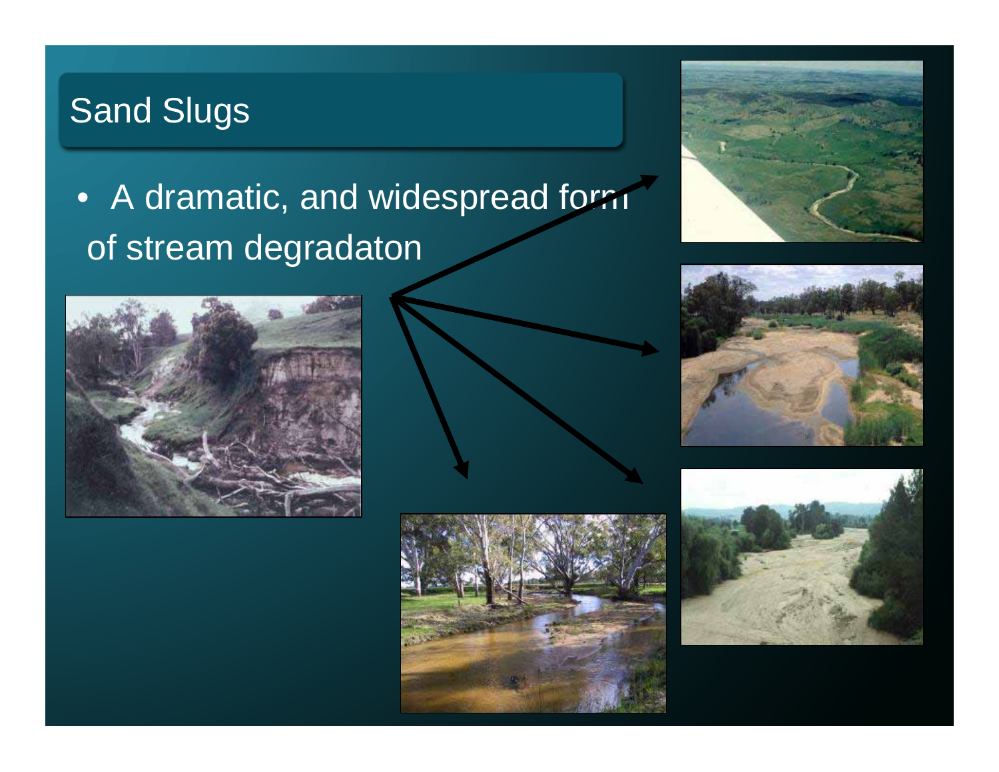## Sand Slugs

## • A dramatic, and widespread form of stream degradaton











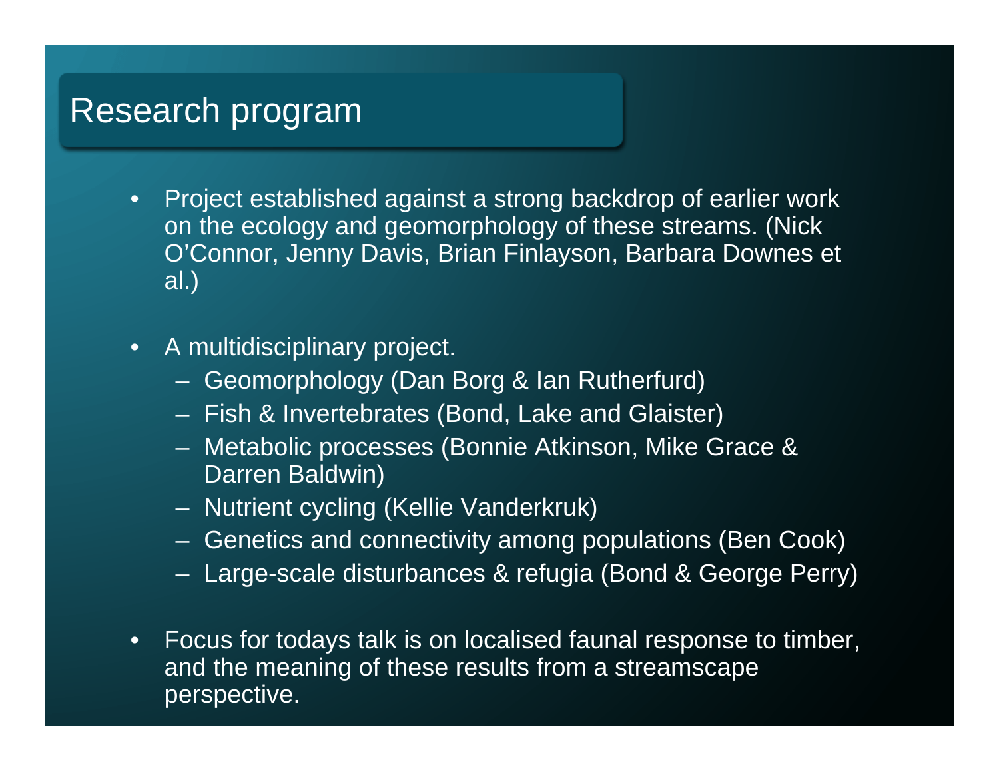### Research program

- $\bullet$  Project established against a strong backdrop of earlier work on the ecology and geomorphology of these streams. (Nick O'Connor, Jenny Davis, Brian Finlayson, Barbara Downes et al.)
- $\bullet$  A multidisciplinary project.
	- Geomorphology (Dan Borg & Ian Rutherfurd)
	- Fish & Invertebrates (Bond, Lake and Glaister)
	- Metabolic processes (Bonnie Atkinson, Mike Grace & Darren Baldwin)
	- Nutrient cycling (Kellie Vanderkruk)
	- Genetics and connectivity among populations (Ben Cook)
	- Large-scale disturbances & refugia (Bond & George Perry)
- • Focus for todays talk is on localised faunal response to timber, and the meaning of these results from a streamscape perspective.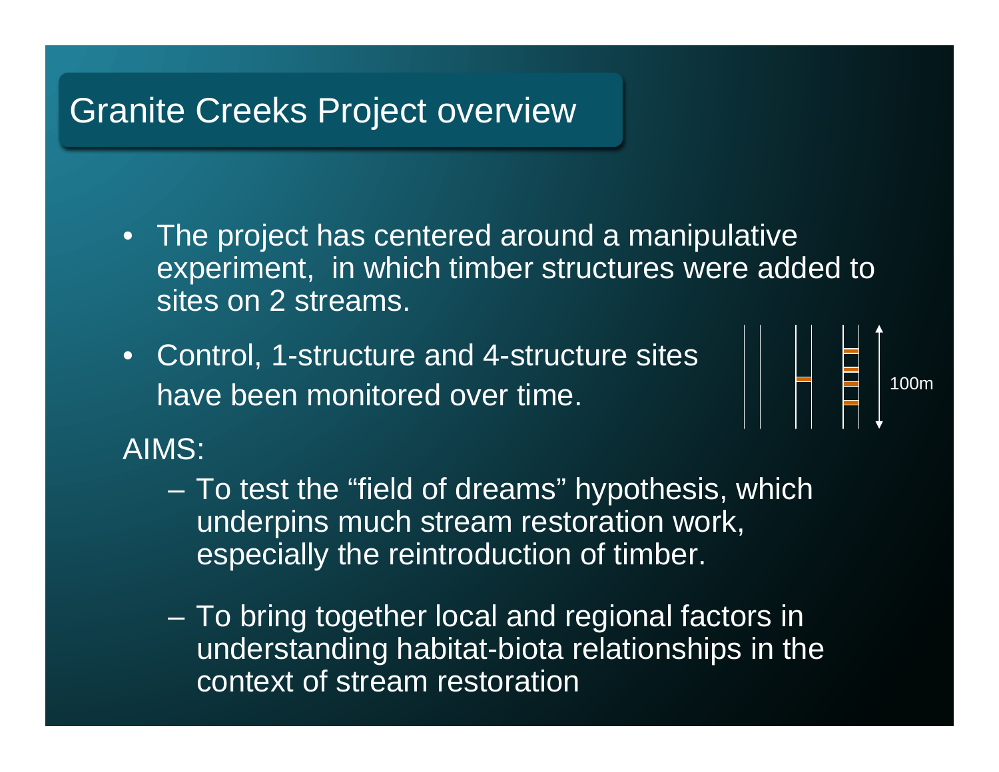## Granite Creeks Project overview

- The project has centered around a manipulative experiment, in which timber structures were added to sites on 2 streams.
- Control, 1-structure and 4-structure sites have been monitored over time.



AIMS:

- To test the "field of dreams" hypothesis, which underpins much stream restoration work, especially the reintroduction of timber.
- To bring together local and regional factors in understanding habitat-biota relationships in the context of stream restoration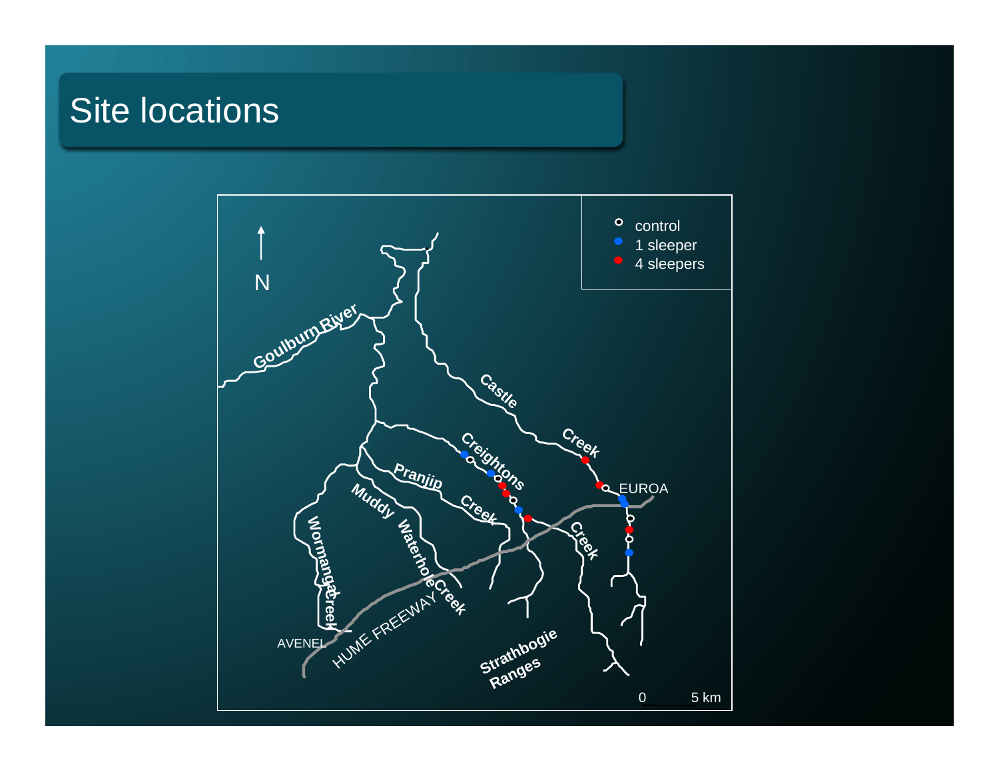## Site locations

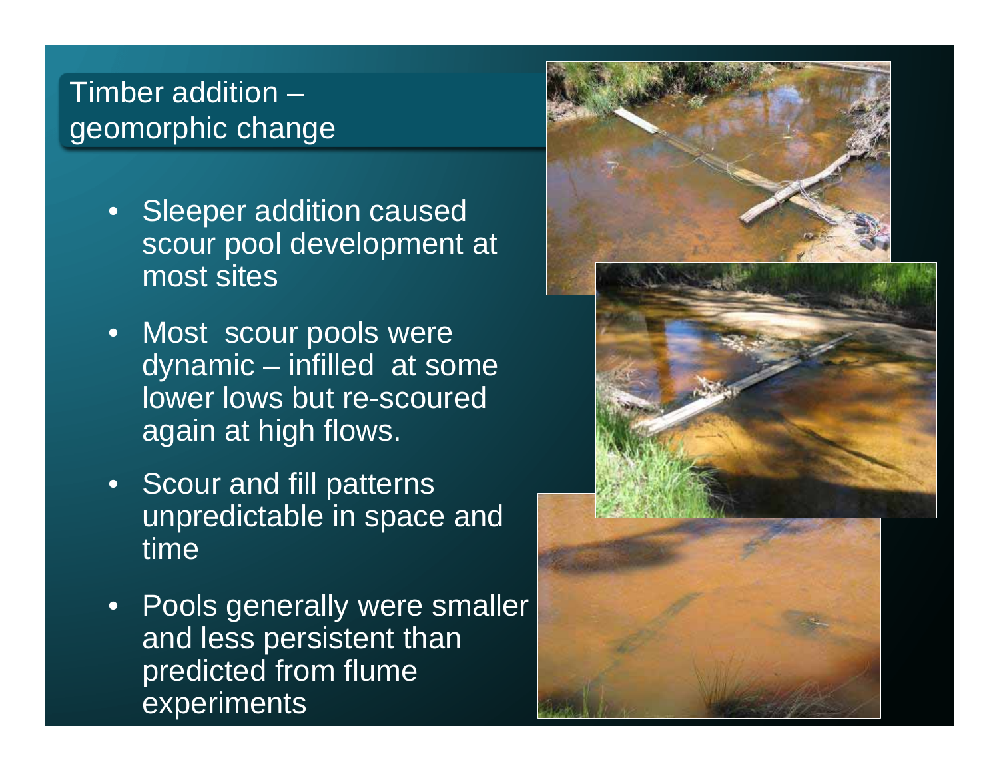#### Timber addition –geomorphic change

- $\bullet$  Sleeper addition caused scour pool development at most sites
- $\bullet$  Most scour pools were dynamic – infilled at some lower lows but re-scoured again at high flows.
- $\bullet$  Scour and fill patterns unpredictable in space and time
- Pools generally were smaller and less persistent than predicted from flume experiments

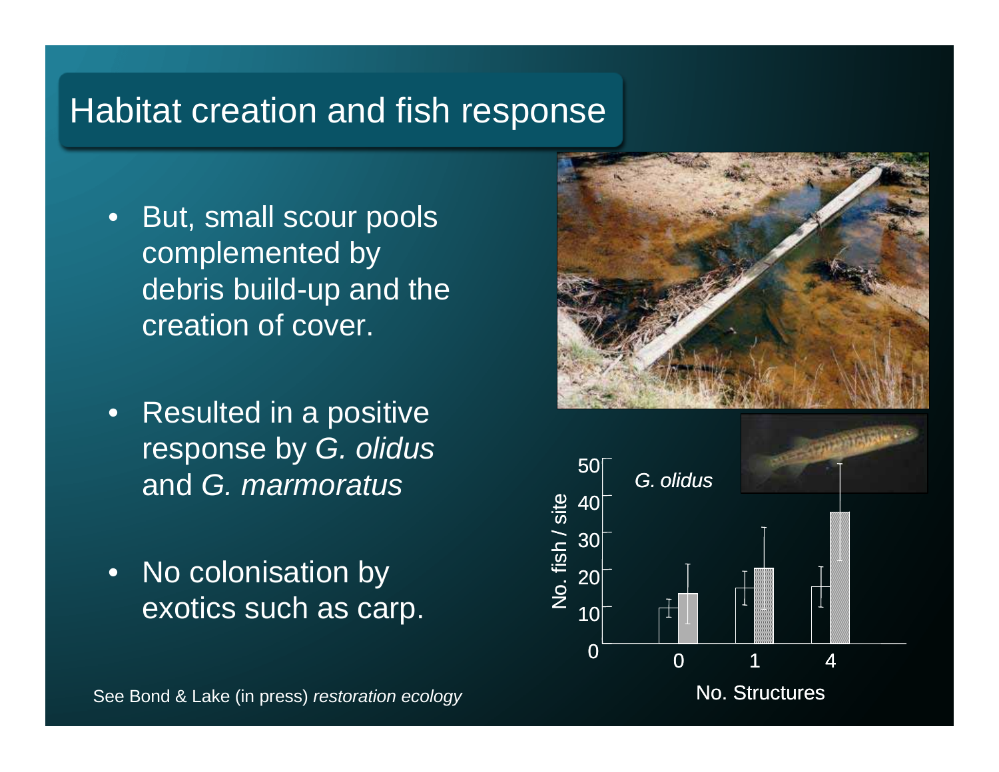## Habitat creation and fish response

- • But, small scour pools complemented by debris build-up and the creation of cover.
- • Resulted in a positive response by *G. olidus*  and *G. marmoratus*
- •No colonisation by exotics such as carp.





No. Structures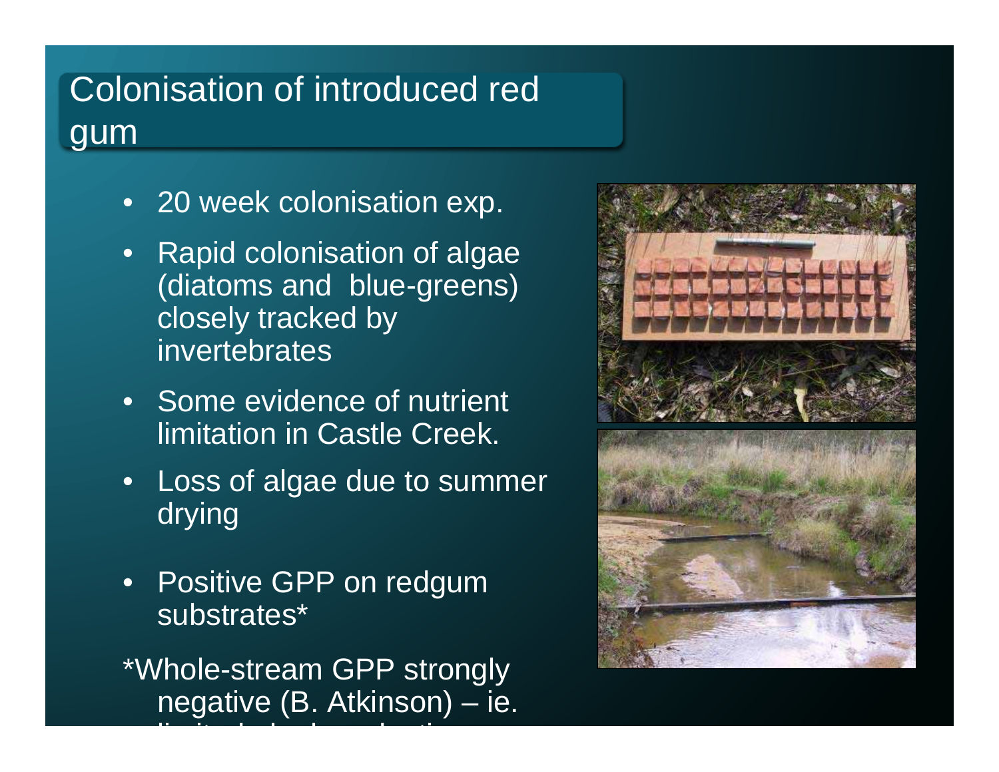## Colonisation of introduced red gum

- 20 week colonisation exp.
- Rapid colonisation of algae (diatoms and blue-greens) closely tracked by invertebrates
- Some evidence of nutrient limitation in Castle Creek.
- • Loss of algae due to summer drying
- • Positive GPP on redgum substrates\*

\*Whole-stream GPP strongly negative (B. Atkinson) – ie.

li <del>it de la latin de la de la de la de</del> la de la de la de la de la de la de la de la de la de la de la de la de<br>La de la de la de la de la de la de la de la de la de la de la de la de la de la de la de la de la de la de l

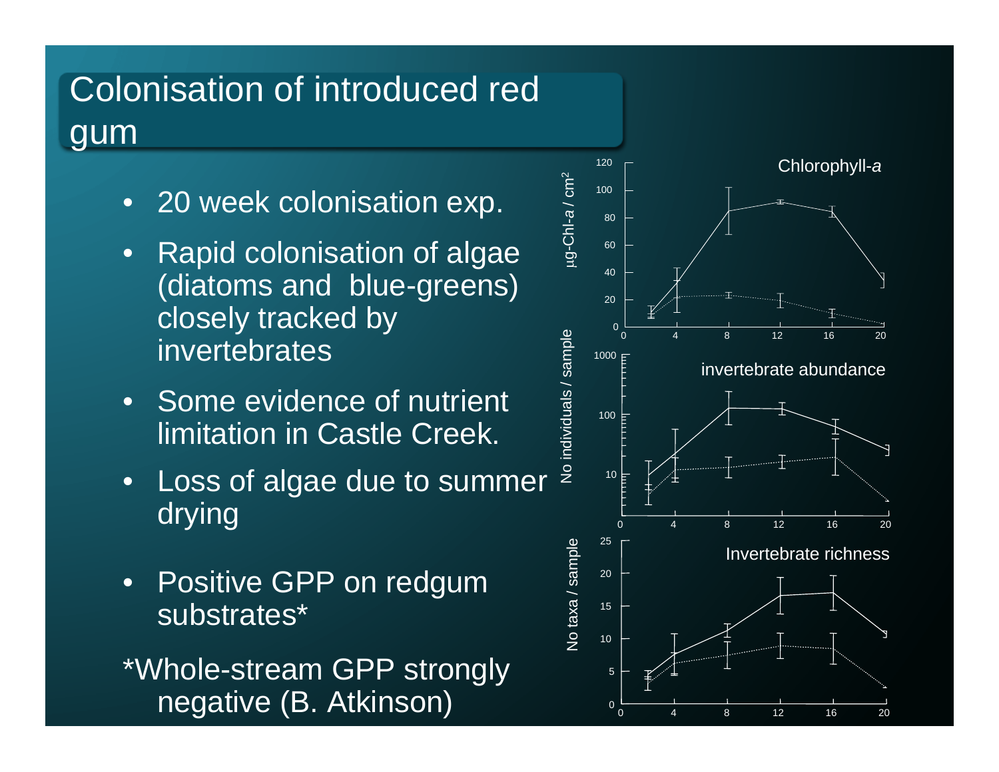## Colonisation of introduced red gum

- 20 week colonisation exp.
- Rapid colonisation of algae (diatoms and blue-greens) closely tracked by invertebrates
- Some evidence of nutrient limitation in Castle Creek.
- • Loss of algae due to summer drying
- • Positive GPP on redgum substrates\*

\*Whole-stream GPP strongly negative (B. Atkinson)

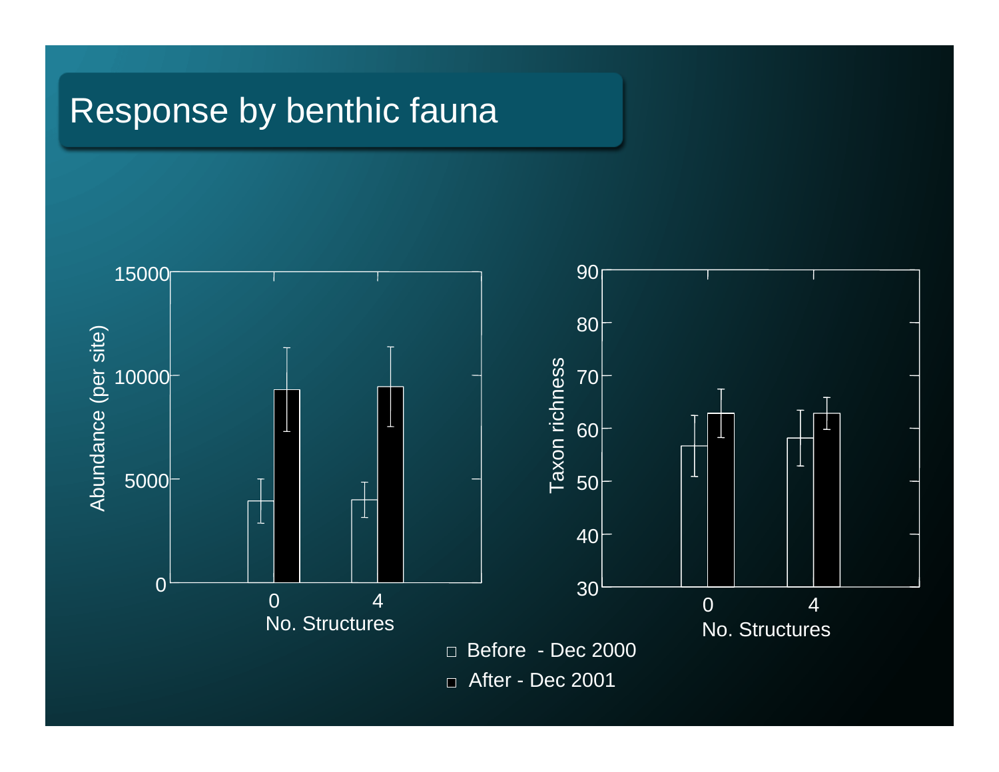## Response by benthic fauna

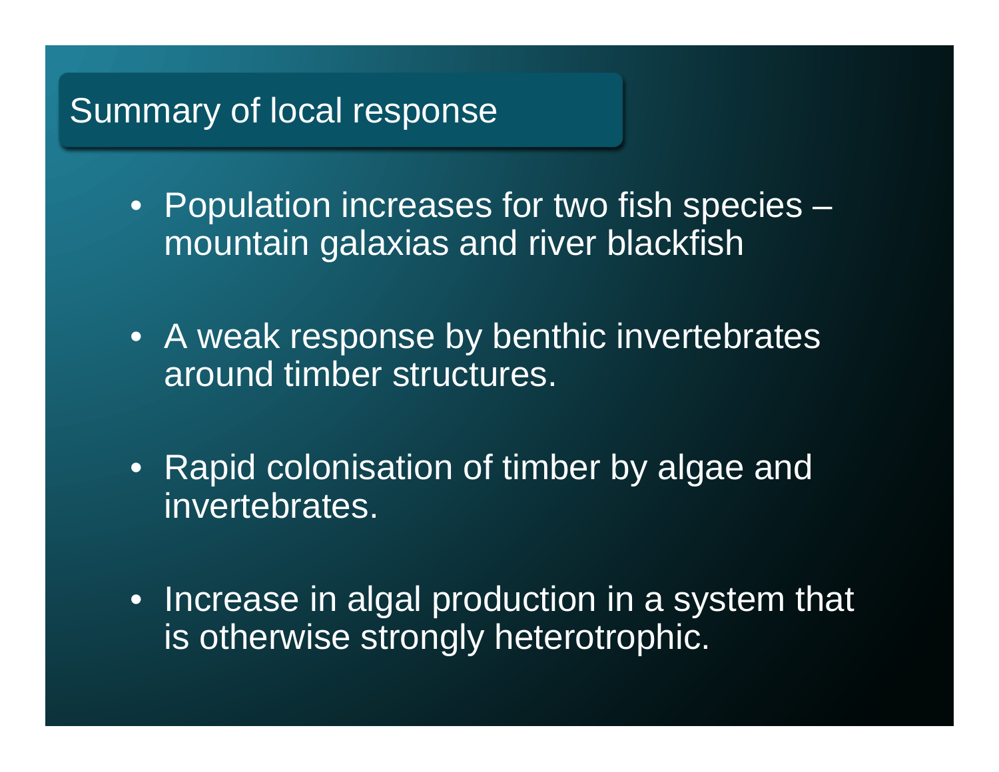### Summary of local response

- Population increases for two fish species mountain galaxias and river blackfish
- A weak response by benthic invertebrates around timber structures.
- Rapid colonisation of timber by algae and invertebrates.
- Increase in algal production in a system that is otherwise strongly heterotrophic.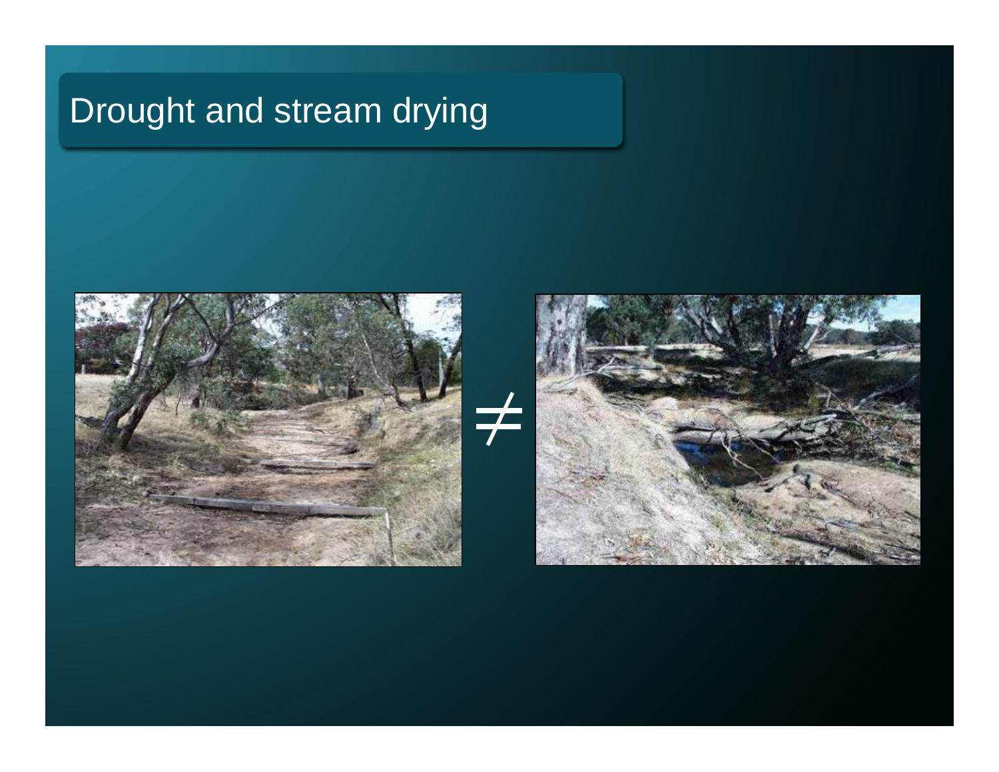## Drought and stream drying



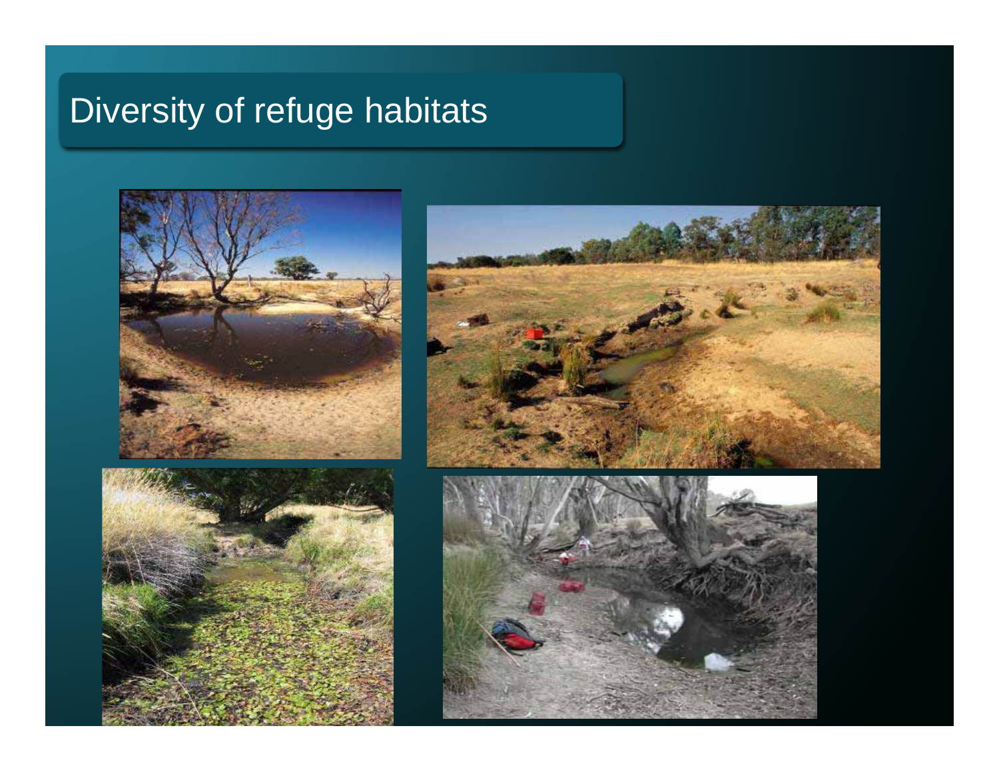## Diversity of refuge habitats







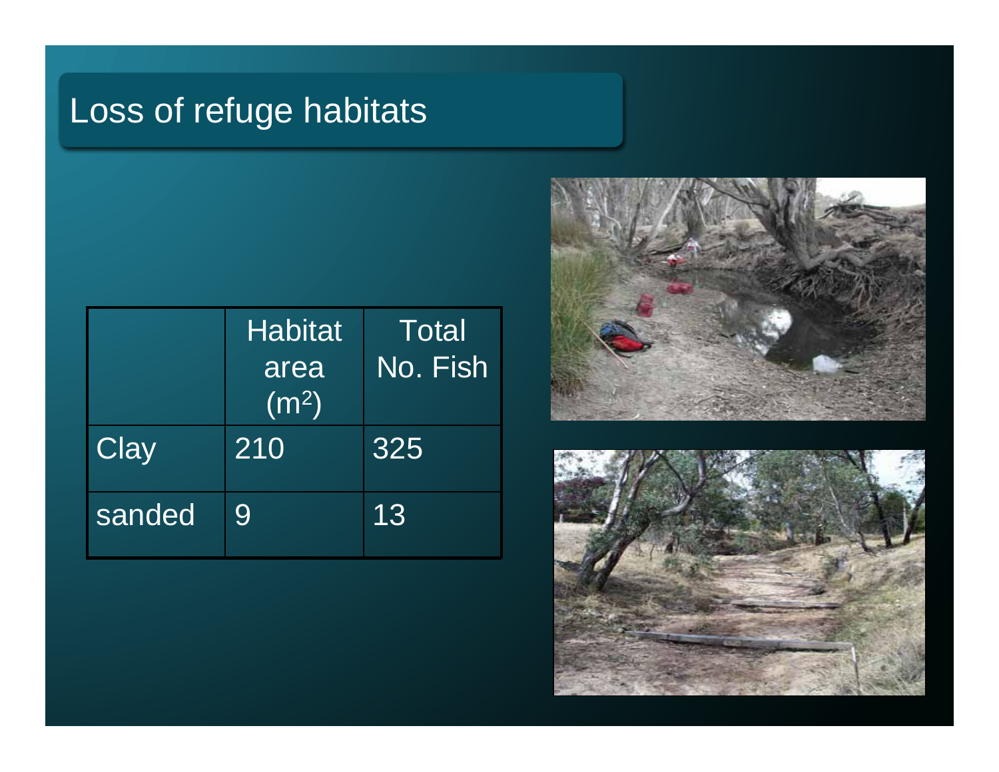## Loss of refuge habitats

|        | <b>Habitat</b><br>area<br>$(m^2)$ | Total<br>No. Fish |
|--------|-----------------------------------|-------------------|
| Clay   | 210                               | 325               |
| sanded | 9                                 | 13                |



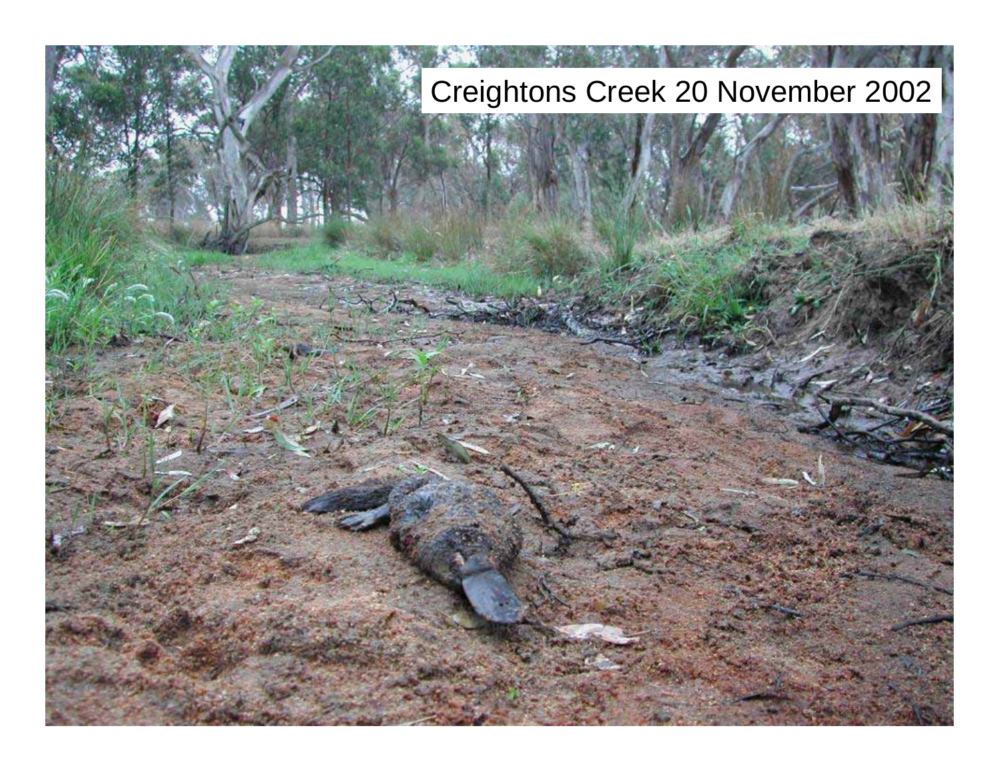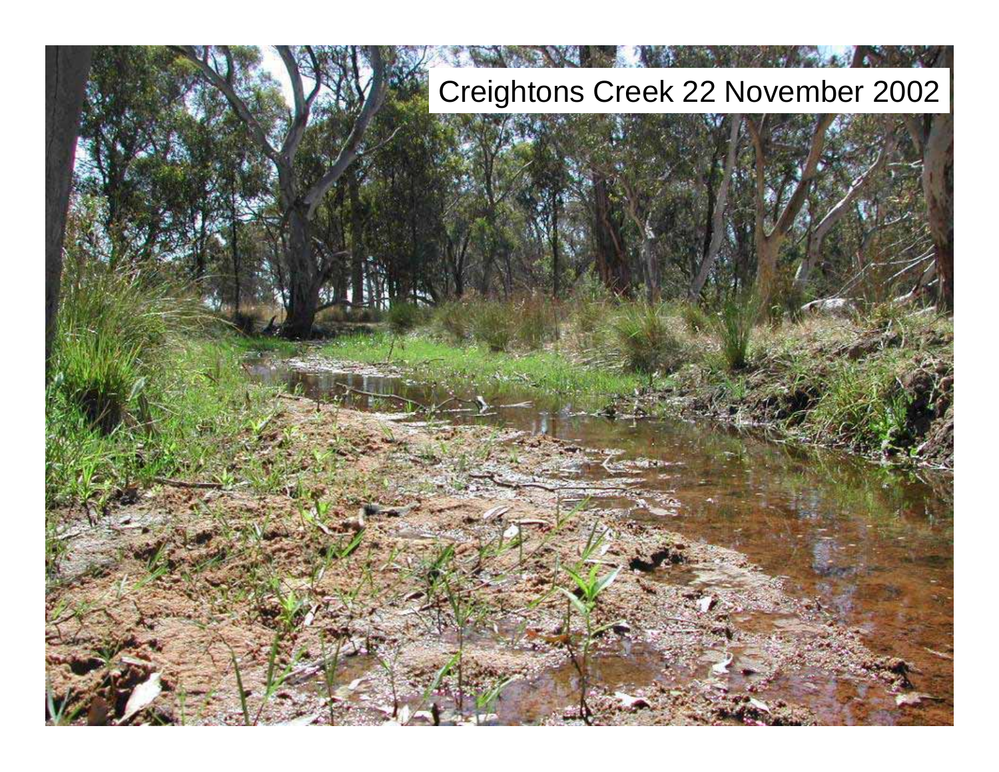## Creightons Creek 22 November 2002

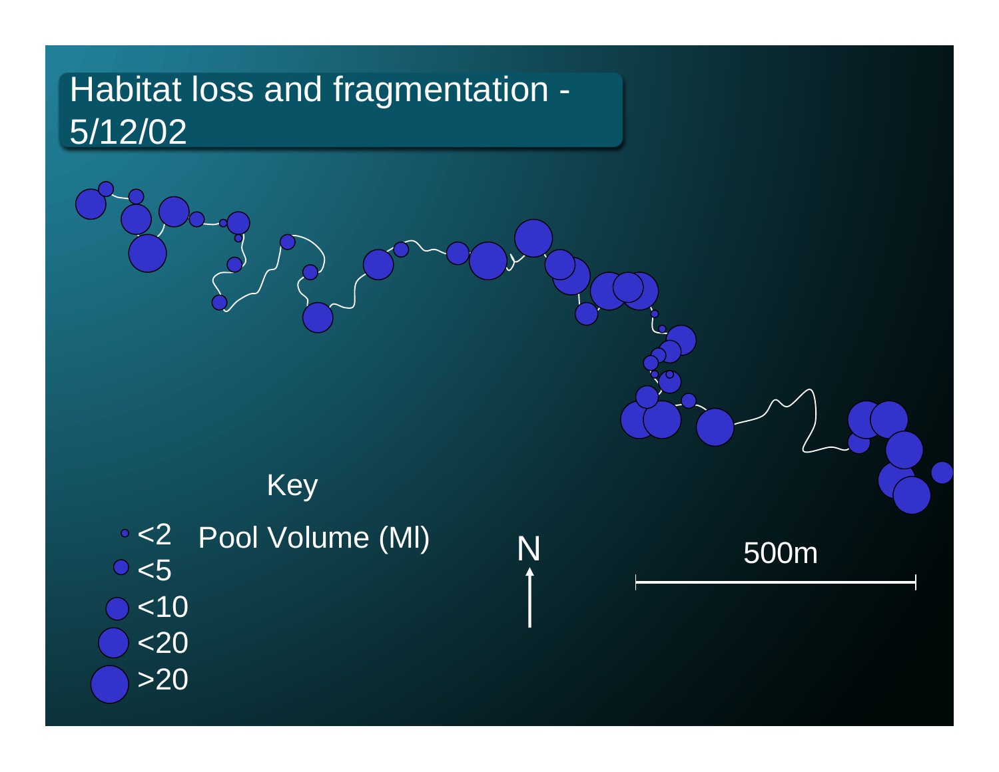## Habitat loss and fragmentation - 5/12/02



500m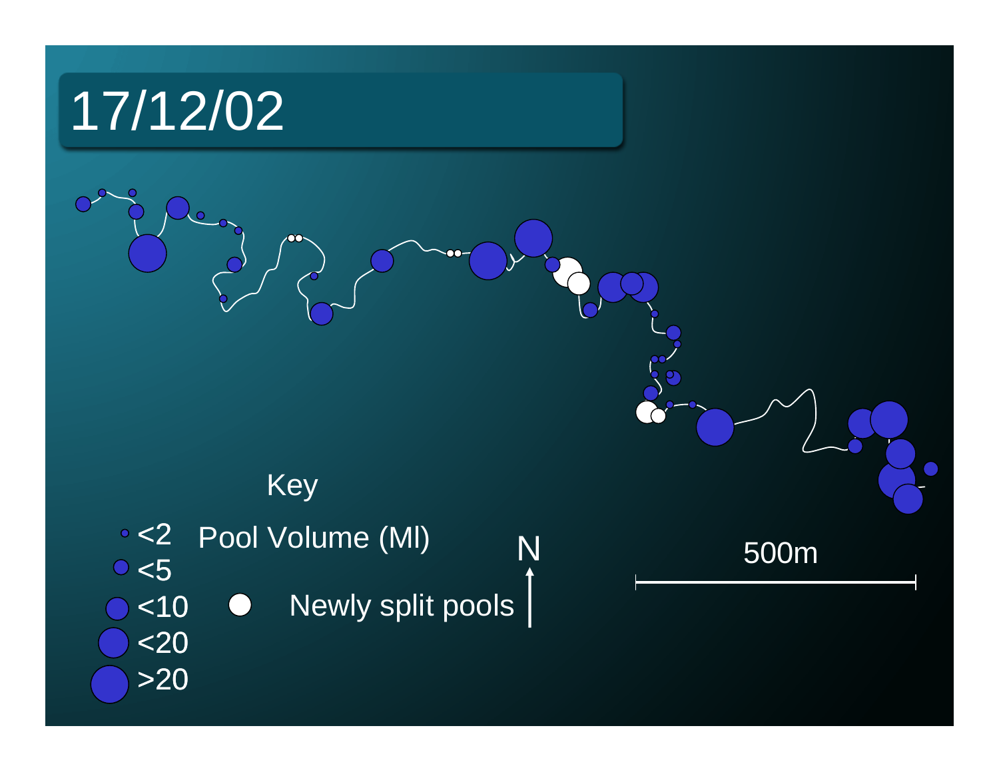

<10

<20

>20

## Key

- <2 Pool Volume (Ml) <5 N 500m
	- Newly split pools  $\bigodot$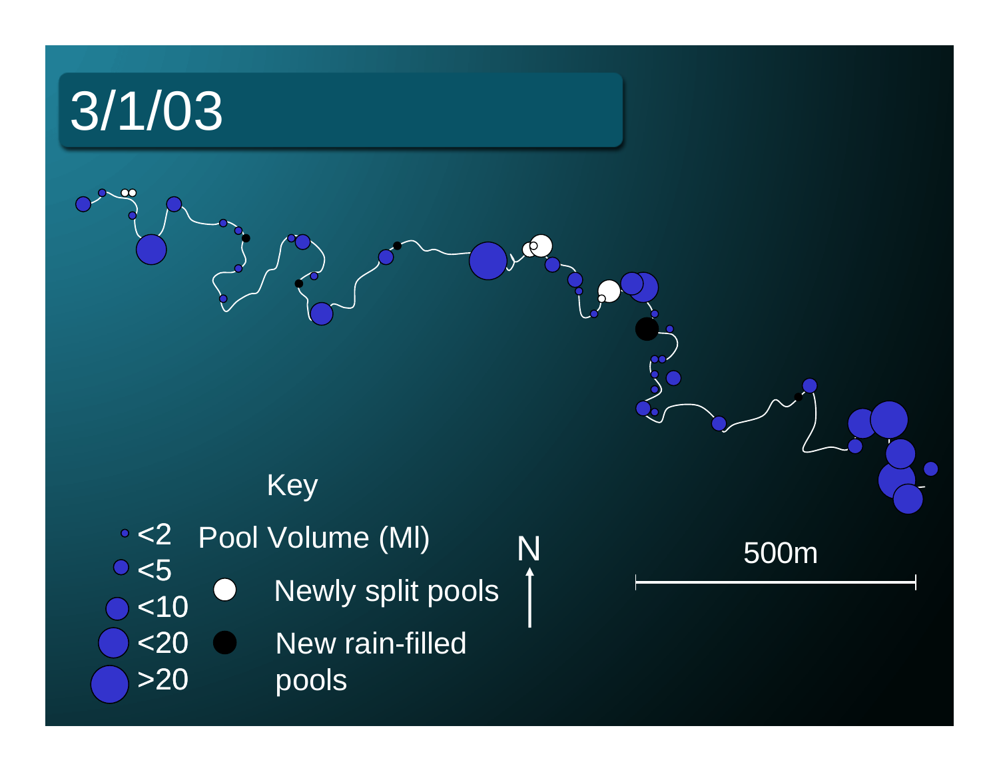## 3/1/03

## Key

<2 Pool Volume (MI) <sub>N</sub> <5 Newly split pools  $\mathcal{L}$ <10 New rain-filled <20 pools >20

500m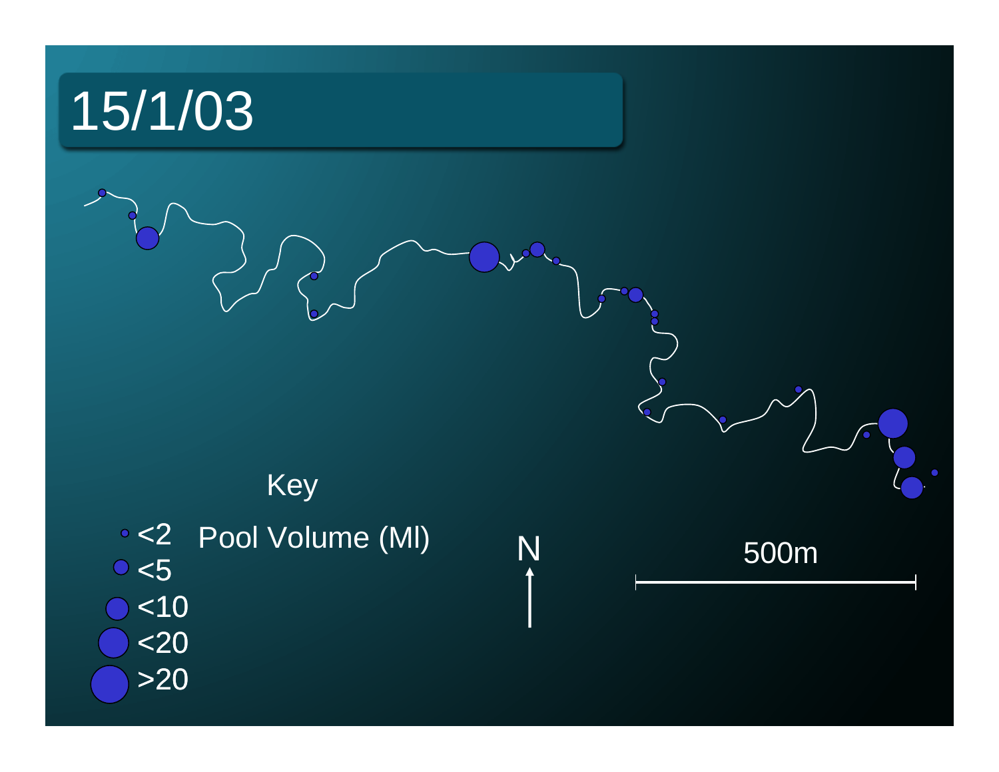# <2 <5 <10 <20 >20 Key Pool Volume (MI) <sub>N</sub> 500m 15/1/03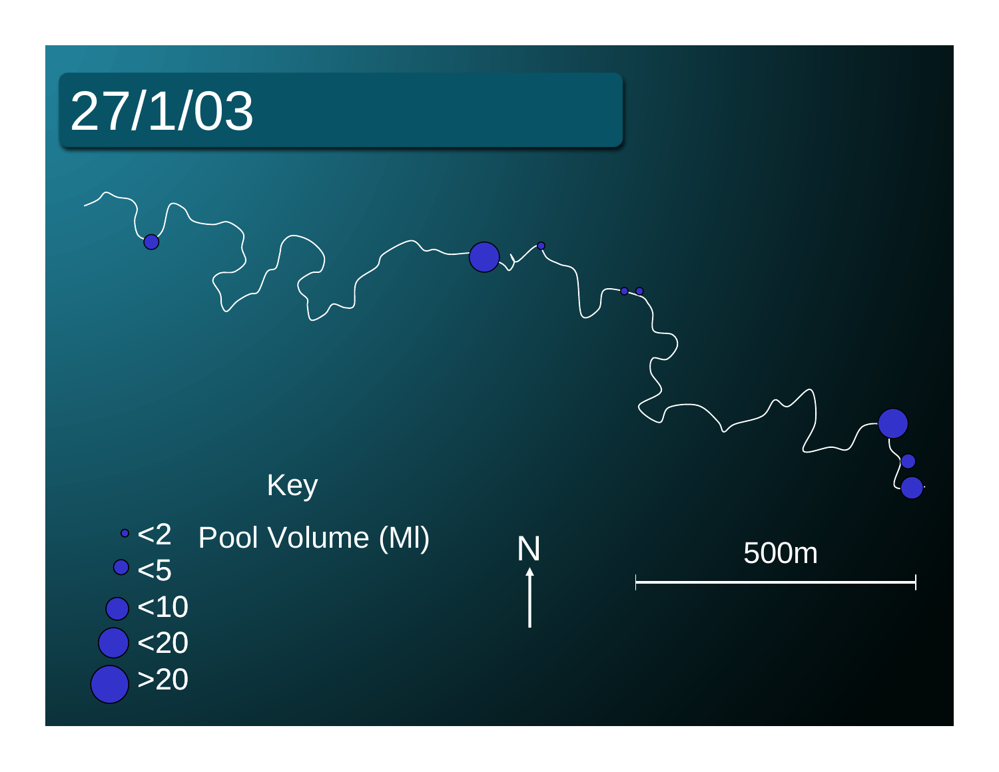# <2 <5 <10 <20 >20 Key Pool Volume (MI) <sub>N</sub> 500m 27/1/03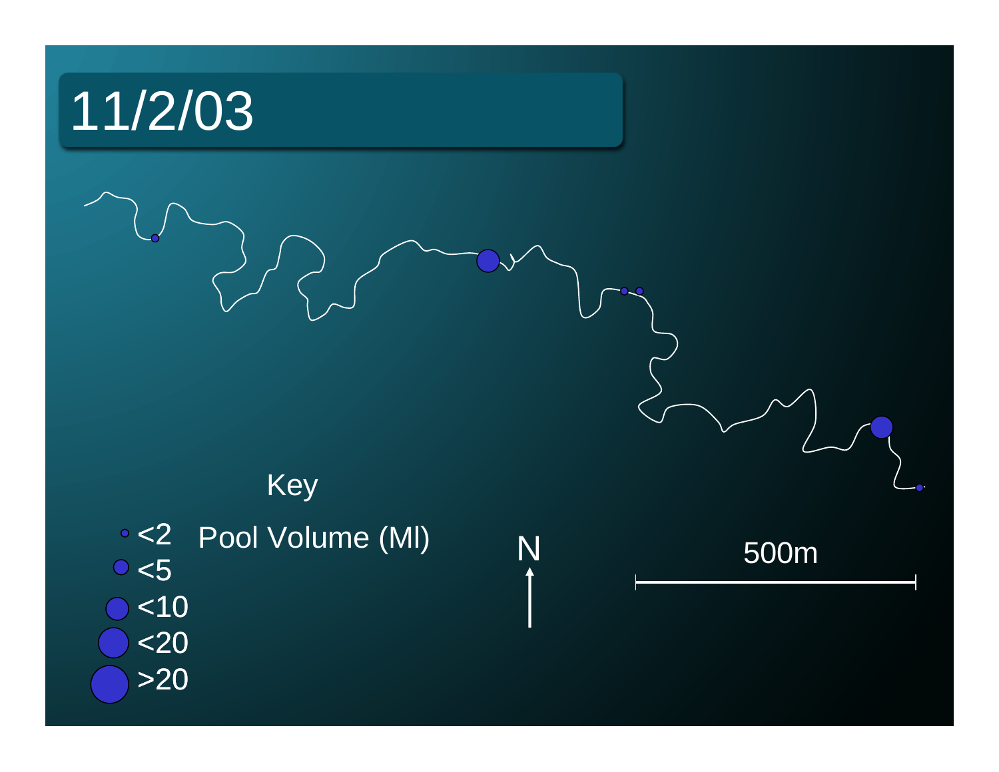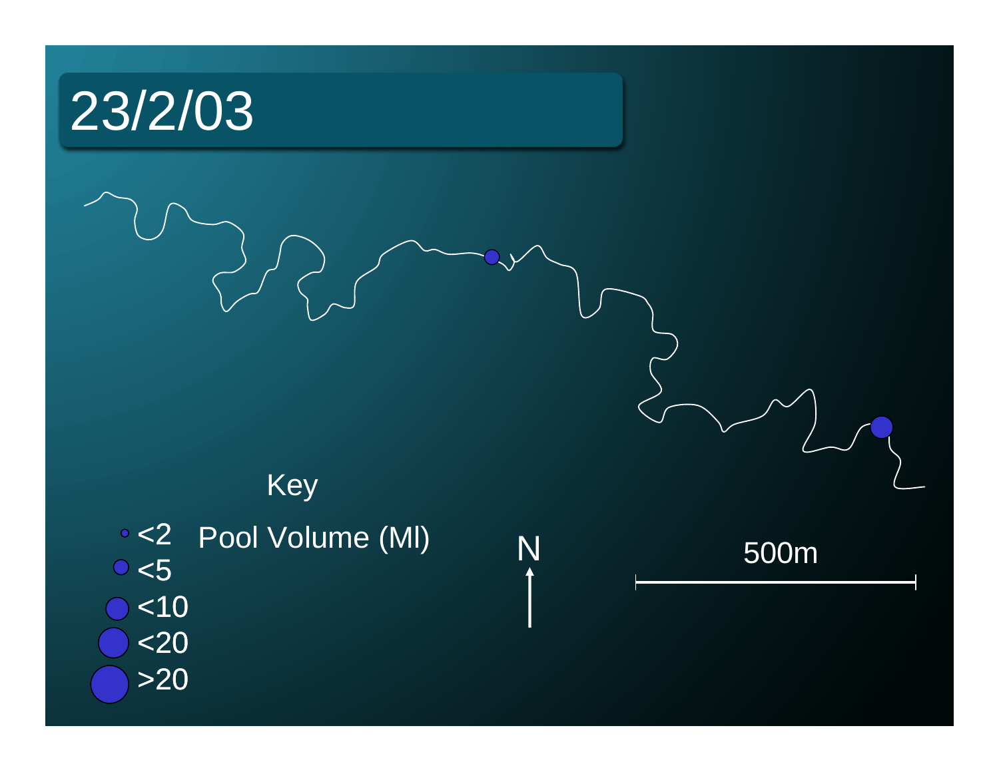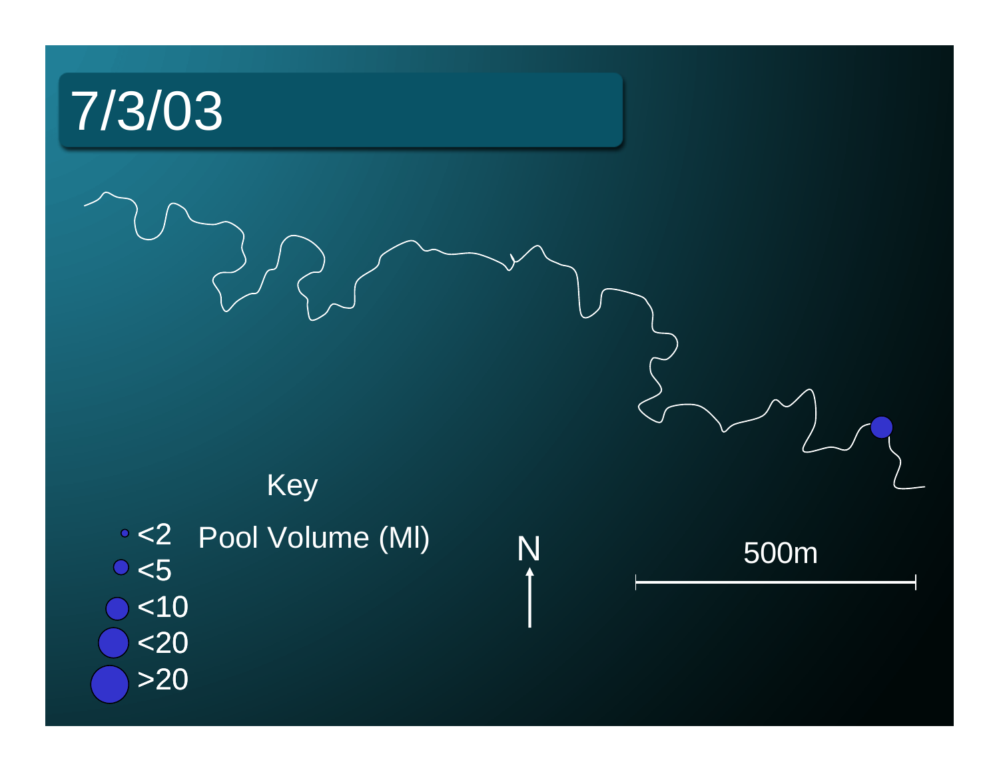# 7/3/03





500m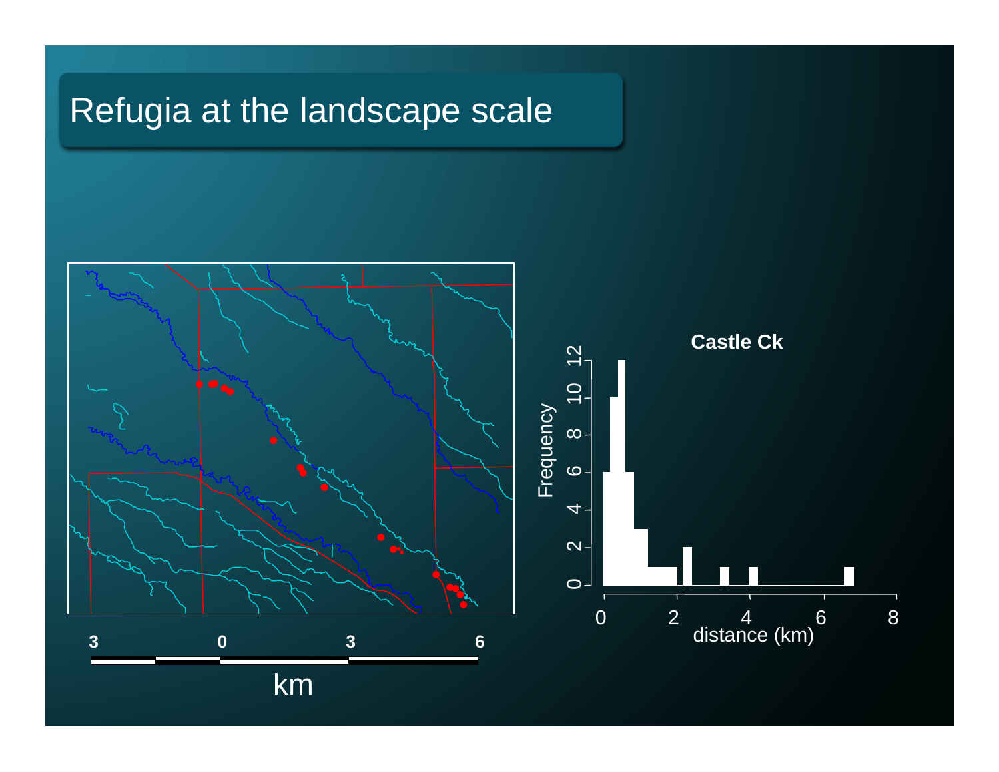## Refugia at the landscape scale

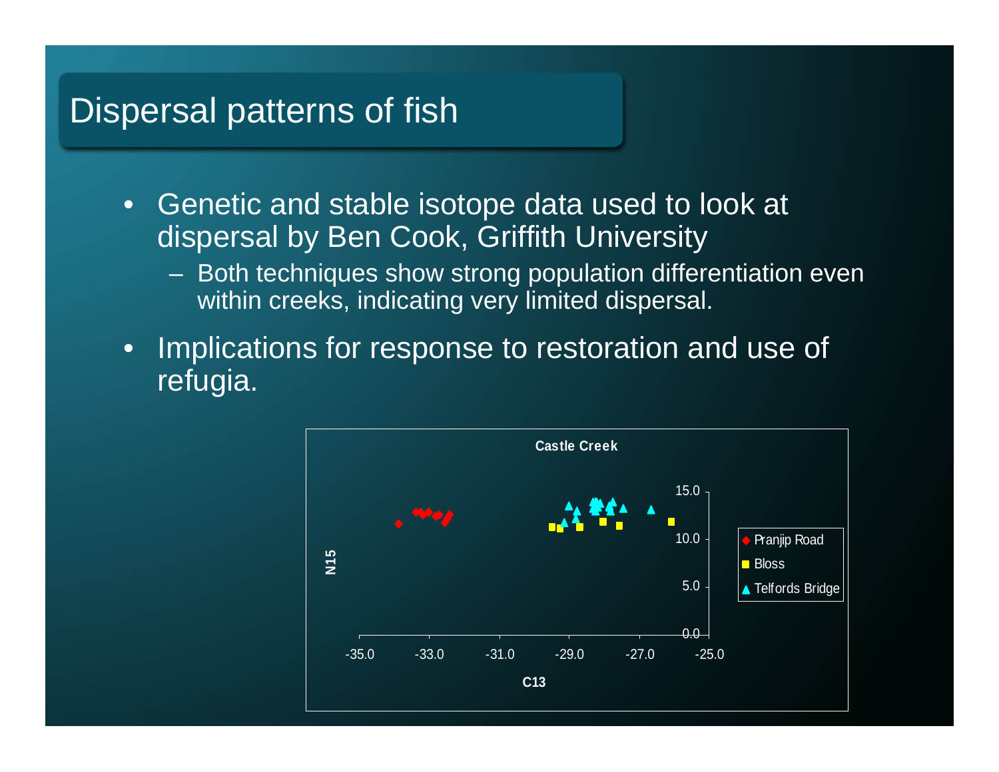#### Dispersal patterns of fish

- $\bullet$  Genetic and stable isotope data used to look at dispersal by Ben Cook, Griffith University
	- Both techniques show strong population differentiation even within creeks, indicating very limited dispersal.
- • Implications for response to restoration and use of refugia.

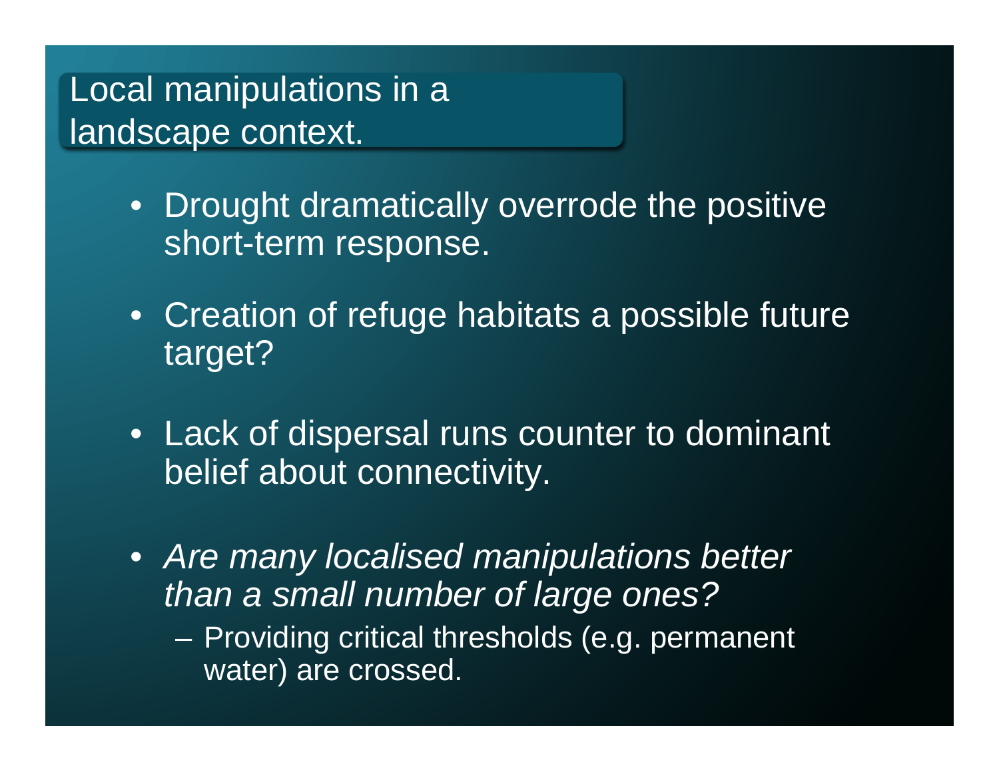Local manipulations in a landscape context.

- Drought dramatically overrode the positive short-term response.
- Creation of refuge habitats a possible future target?
- Lack of dispersal runs counter to dominant belief about connectivity.
- *Are many localised manipulations better than a small number of large ones?*
	- $\mathcal{L}_{\mathcal{A}}$  Providing critical thresholds (e.g. permanent water) are crossed.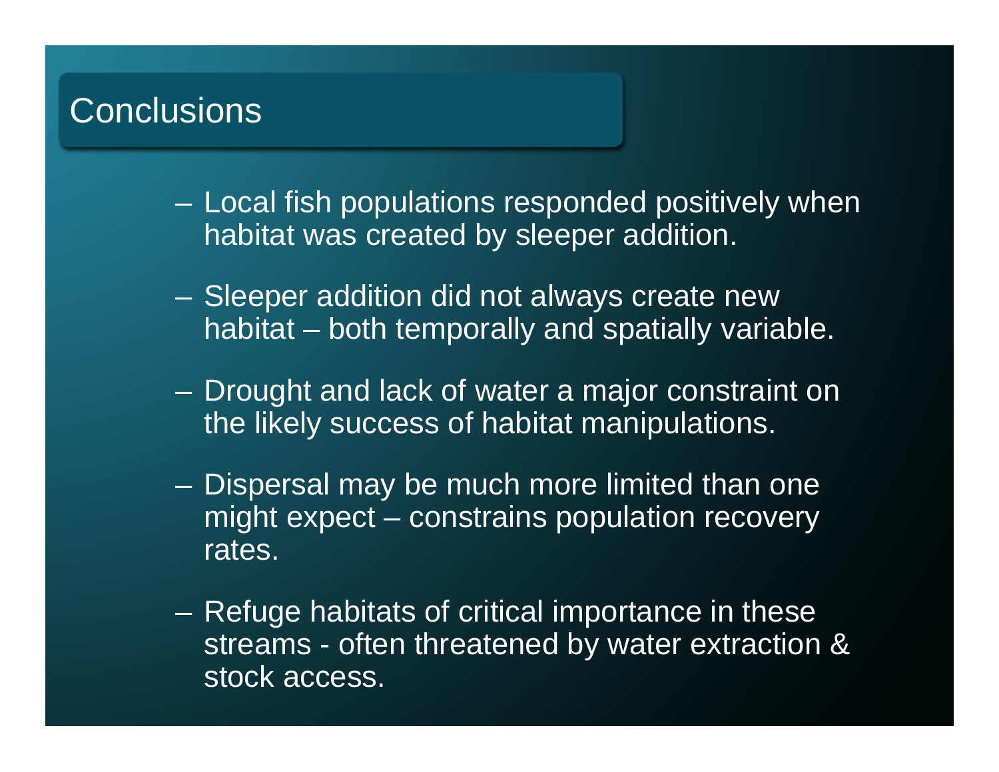## **Conclusions**

- Local fish populations responded positively when habitat was created by sleeper addition.
- – Sleeper addition did not always create new habitat – both temporally and spatially variable.
- Drought and lack of water a major constraint on the likely success of habitat manipulations.
- Dispersal may be much more limited than one might expect – constrains population recovery rates.
- Refuge habitats of critical importance in these streams - often threatened by water extraction & stock access.